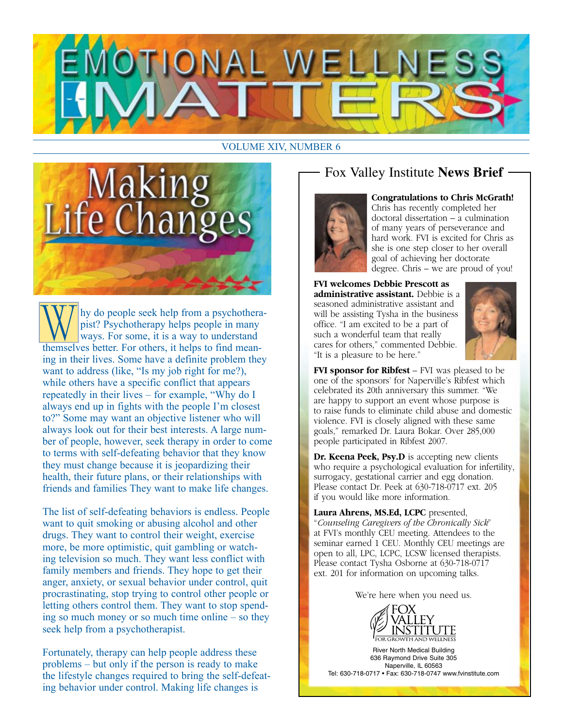

#### VOLUME XIV, NUMBER 6



Why do people seek help from a psychothera-<br>pist? Psychotherapy helps people in many<br>ways. For some, it is a way to understand<br>themselves better. For others, it helps to find meanpist? Psychotherapy helps people in many ways. For some, it is a way to understand ing in their lives. Some have a definite problem they want to address (like, "Is my job right for me?), while others have a specific conflict that appears repeatedly in their lives – for example, "Why do I always end up in fights with the people I'm closest to?" Some may want an objective listener who will always look out for their best interests. A large number of people, however, seek therapy in order to come to terms with self-defeating behavior that they know they must change because it is jeopardizing their health, their future plans, or their relationships with friends and families They want to make life changes.

The list of self-defeating behaviors is endless. People want to quit smoking or abusing alcohol and other drugs. They want to control their weight, exercise more, be more optimistic, quit gambling or watching television so much. They want less conflict with family members and friends. They hope to get their anger, anxiety, or sexual behavior under control, quit procrastinating, stop trying to control other people or letting others control them. They want to stop spending so much money or so much time online – so they seek help from a psychotherapist.

Fortunately, therapy can help people address these problems – but only if the person is ready to make the lifestyle changes required to bring the self-defeating behavior under control. Making life changes is

# Fox Valley Institute **News Brief**



#### **Congratulations to Chris McGrath!**

Chris has recently completed her doctoral dissertation – a culmination of many years of perseverance and hard work. FVI is excited for Chris as she is one step closer to her overall goal of achieving her doctorate degree. Chris – we are proud of you!

**FVI welcomes Debbie Prescott as administrative assistant.** Debbie is a seasoned administrative assistant and will be assisting Tysha in the business office. "I am excited to be a part of such a wonderful team that really cares for others," commented Debbie. "It is a pleasure to be here."



**FVI sponsor for Ribfest** – FVI was pleased to be one of the sponsors' for Naperville's Ribfest which celebrated its 20th anniversary this summer. "We are happy to support an event whose purpose is to raise funds to eliminate child abuse and domestic violence. FVI is closely aligned with these same goals," remarked Dr. Laura Bokar. Over 285,000 people participated in Ribfest 2007.

Dr. Keena Peek, Psy.D is accepting new clients who require a psychological evaluation for infertility, surrogacy, gestational carrier and egg donation. Please contact Dr. Peek at 630-718-0717 ext. 205 if you would like more information.

**Laura Ahrens, MS.Ed, LCPC** presented, "*Counseling Caregivers of the Chronically Sick*" at FVI's monthly CEU meeting. Attendees to the seminar earned 1 CEU. Monthly CEU meetings are open to all, LPC, LCPC, LCSW licensed therapists. Please contact Tysha Osborne at 630-718-0717 ext. 201 for information on upcoming talks.

We're here when you need us.



River North Medical Building 636 Raymond Drive Suite 305 Naperville, IL 60563 Tel: 630-718-0717 • Fax: 630-718-0747 www.fvinstitute.com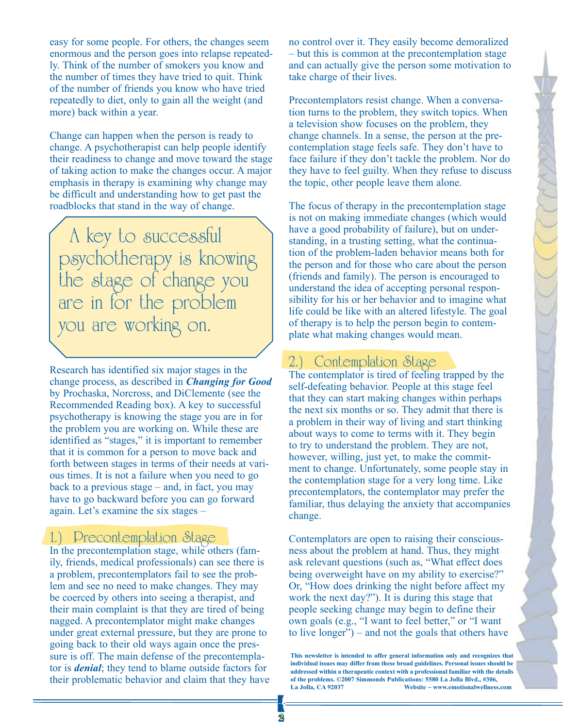easy for some people. For others, the changes seem enormous and the person goes into relapse repeatedly. Think of the number of smokers you know and the number of times they have tried to quit. Think of the number of friends you know who have tried repeatedly to diet, only to gain all the weight (and more) back within a year.

Change can happen when the person is ready to change. A psychotherapist can help people identify their readiness to change and move toward the stage of taking action to make the changes occur. A major emphasis in therapy is examining why change may be difficult and understanding how to get past the roadblocks that stand in the way of change.

A key to successful psychotherapy is knowing the stage of change you are in for the problem you are working on.

Research has identified six major stages in the change process, as described in *Changing for Good* by Prochaska, Norcross, and DiClemente (see the Recommended Reading box). A key to successful psychotherapy is knowing the stage you are in for the problem you are working on. While these are identified as "stages," it is important to remember that it is common for a person to move back and forth between stages in terms of their needs at various times. It is not a failure when you need to go back to a previous stage – and, in fact, you may have to go backward before you can go forward again. Let's examine the six stages –

# 1.) Precontemplation Stage

In the precontemplation stage, while others (family, friends, medical professionals) can see there is a problem, precontemplators fail to see the problem and see no need to make changes. They may be coerced by others into seeing a therapist, and their main complaint is that they are tired of being nagged. A precontemplator might make changes under great external pressure, but they are prone to going back to their old ways again once the pressure is off. The main defense of the precontemplator is *denial*; they tend to blame outside factors for their problematic behavior and claim that they have

no control over it. They easily become demoralized – but this is common at the precontemplation stage and can actually give the person some motivation to take charge of their lives.

Precontemplators resist change. When a conversation turns to the problem, they switch topics. When a television show focuses on the problem, they change channels. In a sense, the person at the precontemplation stage feels safe. They don't have to face failure if they don't tackle the problem. Nor do they have to feel guilty. When they refuse to discuss the topic, other people leave them alone.

The focus of therapy in the precontemplation stage is not on making immediate changes (which would have a good probability of failure), but on understanding, in a trusting setting, what the continuation of the problem-laden behavior means both for the person and for those who care about the person (friends and family). The person is encouraged to understand the idea of accepting personal responsibility for his or her behavior and to imagine what life could be like with an altered lifestyle. The goal of therapy is to help the person begin to contemplate what making changes would mean.

### 2.) Contemplation Stage

The contemplator is tired of feeling trapped by the self-defeating behavior. People at this stage feel that they can start making changes within perhaps the next six months or so. They admit that there is a problem in their way of living and start thinking about ways to come to terms with it. They begin to try to understand the problem. They are not, however, willing, just yet, to make the commitment to change. Unfortunately, some people stay in the contemplation stage for a very long time. Like precontemplators, the contemplator may prefer the familiar, thus delaying the anxiety that accompanies change.

Contemplators are open to raising their consciousness about the problem at hand. Thus, they might ask relevant questions (such as, "What effect does being overweight have on my ability to exercise?" Or, "How does drinking the night before affect my work the next day?"). It is during this stage that people seeking change may begin to define their own goals (e.g., "I want to feel better," or "I want to live longer") – and not the goals that others have

**This newsletter is intended to offer general information only and recognizes that individual issues may differ from these broad guidelines. Personal issues should be addressed within a therapeutic context with a professional familiar with the details of the problems. ©2007 Simmonds Publications: 5580 La Jolla Blvd., #306,**  Website ~ www.emotionalwellness.com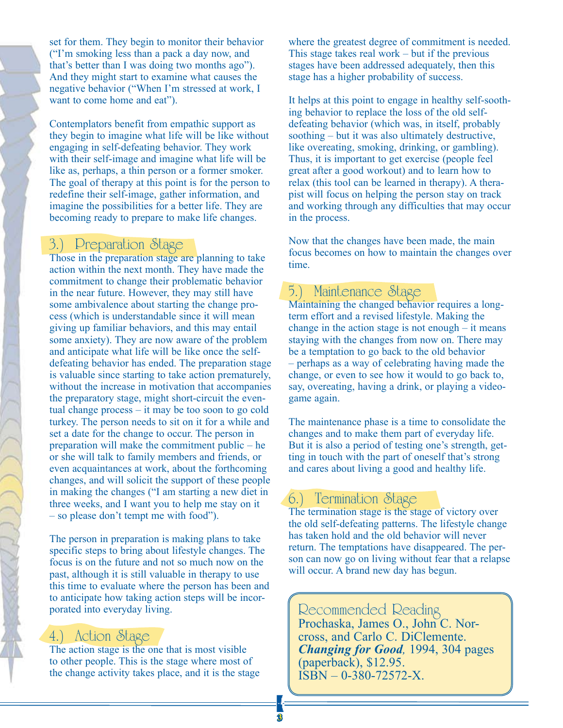set for them. They begin to monitor their behavior ("I'm smoking less than a pack a day now, and that's better than I was doing two months ago"). And they might start to examine what causes the negative behavior ("When I'm stressed at work, I want to come home and eat").

Contemplators benefit from empathic support as they begin to imagine what life will be like without engaging in self-defeating behavior. They work with their self-image and imagine what life will be like as, perhaps, a thin person or a former smoker. The goal of therapy at this point is for the person to redefine their self-image, gather information, and imagine the possibilities for a better life. They are becoming ready to prepare to make life changes.

#### 3.) Preparation Stage

Those in the preparation stage are planning to take action within the next month. They have made the commitment to change their problematic behavior in the near future. However, they may still have some ambivalence about starting the change process (which is understandable since it will mean giving up familiar behaviors, and this may entail some anxiety). They are now aware of the problem and anticipate what life will be like once the selfdefeating behavior has ended. The preparation stage is valuable since starting to take action prematurely, without the increase in motivation that accompanies the preparatory stage, might short-circuit the eventual change process – it may be too soon to go cold turkey. The person needs to sit on it for a while and set a date for the change to occur. The person in preparation will make the commitment public – he or she will talk to family members and friends, or even acquaintances at work, about the forthcoming changes, and will solicit the support of these people in making the changes ("I am starting a new diet in three weeks, and I want you to help me stay on it – so please don't tempt me with food").

The person in preparation is making plans to take specific steps to bring about lifestyle changes. The focus is on the future and not so much now on the past, although it is still valuable in therapy to use this time to evaluate where the person has been and to anticipate how taking action steps will be incorporated into everyday living.

#### 4.) Action Stage

The action stage is the one that is most visible to other people. This is the stage where most of the change activity takes place, and it is the stage where the greatest degree of commitment is needed. This stage takes real work – but if the previous stages have been addressed adequately, then this stage has a higher probability of success.

It helps at this point to engage in healthy self-soothing behavior to replace the loss of the old selfdefeating behavior (which was, in itself, probably soothing – but it was also ultimately destructive, like overeating, smoking, drinking, or gambling). Thus, it is important to get exercise (people feel great after a good workout) and to learn how to relax (this tool can be learned in therapy). A therapist will focus on helping the person stay on track and working through any difficulties that may occur in the process.

Now that the changes have been made, the main focus becomes on how to maintain the changes over time.

#### 5.) Maintenance Stage

Maintaining the changed behavior requires a longterm effort and a revised lifestyle. Making the change in the action stage is not enough – it means staying with the changes from now on. There may be a temptation to go back to the old behavior – perhaps as a way of celebrating having made the change, or even to see how it would to go back to, say, overeating, having a drink, or playing a videogame again.

The maintenance phase is a time to consolidate the changes and to make them part of everyday life. But it is also a period of testing one's strength, getting in touch with the part of oneself that's strong and cares about living a good and healthy life.

# 6.) Termination Stage

The termination stage is the stage of victory over the old self-defeating patterns. The lifestyle change has taken hold and the old behavior will never return. The temptations have disappeared. The person can now go on living without fear that a relapse will occur. A brand new day has begun.

# Recommended Reading Prochaska, James O., John C. Nor-

cross, and Carlo C. DiClemente. *Changing for Good,* 1994, 304 pages (paperback), \$12.95. ISBN – 0-380-72572-X.